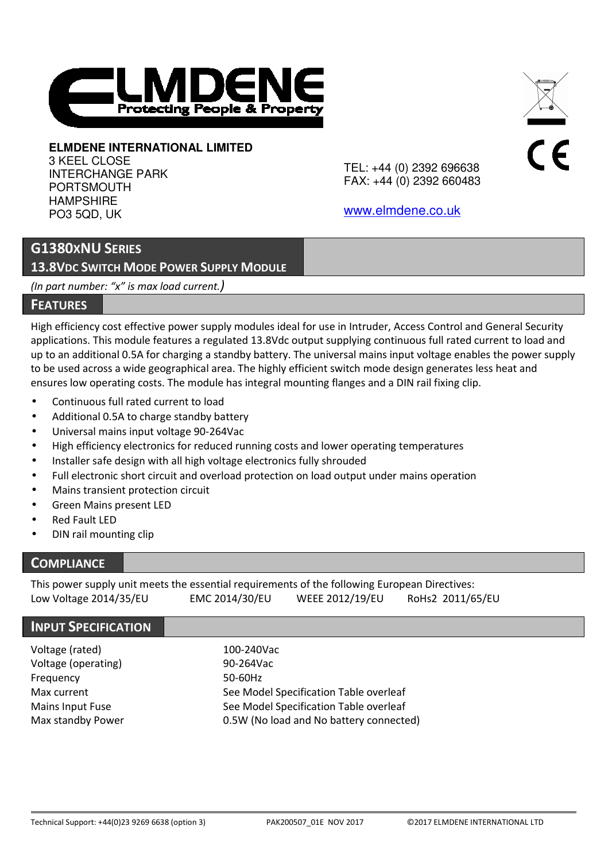

# **ELMDENE INTERNATIONAL LIMITED**

3 KEEL CLOSE INTERCHANGE PARK **PORTSMOUTH** HAMPSHIRE PO3 5QD, UK

TEL: +44 (0) 2392 696638 FAX: +44 (0) 2392 660483  $\epsilon$ 

www.elmdene.co.uk

# **G1380XNU SERIES**

**13.8VDC SWITCH MODE POWER SUPPLY MODULE**

*(In part number: "x" is max load current.)*

## **FEATURES**

High efficiency cost effective power supply modules ideal for use in Intruder, Access Control and General Security applications. This module features a regulated 13.8Vdc output supplying continuous full rated current to load and up to an additional 0.5A for charging a standby battery. The universal mains input voltage enables the power supply to be used across a wide geographical area. The highly efficient switch mode design generates less heat and ensures low operating costs. The module has integral mounting flanges and a DIN rail fixing clip.

- Continuous full rated current to load
- Additional 0.5A to charge standby battery
- Universal mains input voltage 90-264Vac
- High efficiency electronics for reduced running costs and lower operating temperatures
- Installer safe design with all high voltage electronics fully shrouded
- Full electronic short circuit and overload protection on load output under mains operation
- Mains transient protection circuit
- Green Mains present LED
- **Red Fault LED**
- DIN rail mounting clip

# **COMPLIANCE**

This power supply unit meets the essential requirements of the following European Directives: Low Voltage 2014/35/EU EMC 2014/30/EU WEEE 2012/19/EU RoHs2 2011/65/EU

## **INPUT SPECIFICATION**

| Voltage (rated)     | 100-240Vac                              |
|---------------------|-----------------------------------------|
| Voltage (operating) | 90-264Vac                               |
| Frequency           | 50-60Hz                                 |
| Max current         | See Model Specification Table overleaf  |
| Mains Input Fuse    | See Model Specification Table overleaf  |
| Max standby Power   | 0.5W (No load and No battery connected) |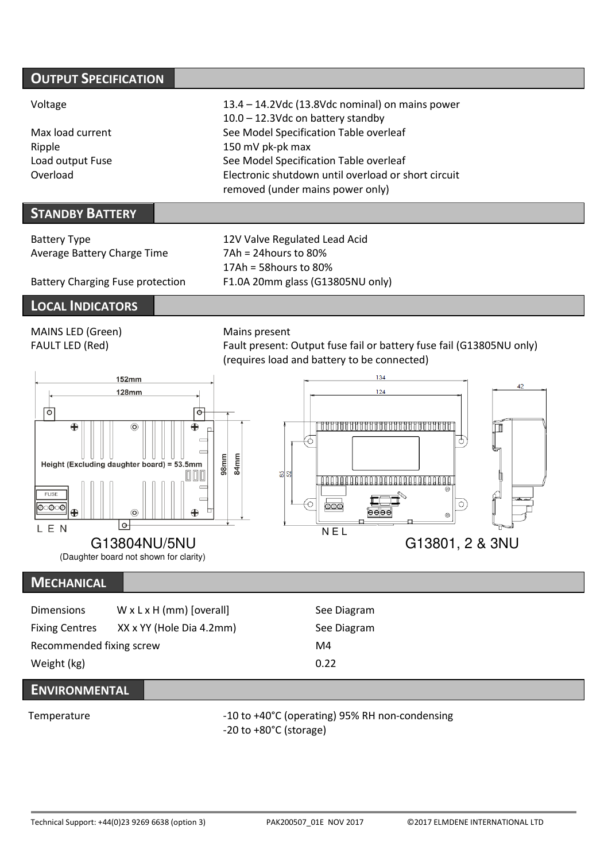| <b>OUTPUT SPECIFICATION</b> |                                                     |
|-----------------------------|-----------------------------------------------------|
| Voltage                     | 13.4 - 14.2Vdc (13.8Vdc nominal) on mains power     |
|                             | 10.0 - 12.3Vdc on battery standby                   |
| Max load current            | See Model Specification Table overleaf              |
| Ripple                      | 150 mV pk-pk max                                    |
| Load output Fuse            | See Model Specification Table overleaf              |
| Overload                    | Electronic shutdown until overload or short circuit |
|                             | removed (under mains power only)                    |

# **STANDBY BATTERY**

| Battery Type                            | 12V Valve Regulated Lead Acid    |  |  |
|-----------------------------------------|----------------------------------|--|--|
| Average Battery Charge Time             | $7Ah = 24 hours to 80%$          |  |  |
|                                         | $17Ah = 58 hours to 80%$         |  |  |
| <b>Battery Charging Fuse protection</b> | F1.0A 20mm glass (G13805NU only) |  |  |

# **LOCAL INDICATORS**

MAINS LED (Green) Mains present FAULT LED (Red) Fault present: Output fuse fail or battery fuse fail (G13805NU only)





# **MECHANICAL**

| <b>Dimensions</b>        | $W \times L \times H$ (mm) [overall] | See Diagram |
|--------------------------|--------------------------------------|-------------|
| <b>Fixing Centres</b>    | XX x YY (Hole Dia 4.2mm)             | See Diagram |
| Recommended fixing screw |                                      | M4          |
| Weight (kg)              |                                      | 0.22        |

# **ENVIRONMENTAL**

Temperature  $-10$  to +40°C (operating) 95% RH non-condensing -20 to +80°C (storage)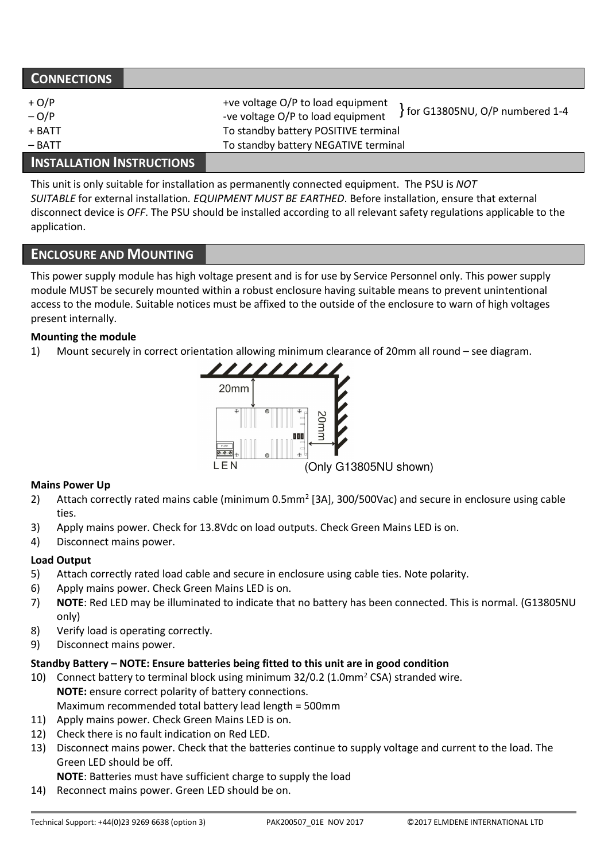| <b>CONNECTIONS</b>                      |                                                                                                                                                                                          |
|-----------------------------------------|------------------------------------------------------------------------------------------------------------------------------------------------------------------------------------------|
| $+ O/P$<br>$-O/P$<br>+ BATT<br>$-$ BATT | +ve voltage O/P to load equipment<br>for G13805NU, O/P numbered 1-4<br>-ve voltage O/P to load equipment<br>To standby battery POSITIVE terminal<br>To standby battery NEGATIVE terminal |
| International Internationale            |                                                                                                                                                                                          |

# **INSTALLATION INSTRUCTIONS**

This unit is only suitable for installation as permanently connected equipment. The PSU is *NOT SUITABLE* for external installation*. EQUIPMENT MUST BE EARTHED*. Before installation, ensure that external disconnect device is *OFF*. The PSU should be installed according to all relevant safety regulations applicable to the application.

## **ENCLOSURE AND MOUNTING**

This power supply module has high voltage present and is for use by Service Personnel only. This power supply module MUST be securely mounted within a robust enclosure having suitable means to prevent unintentional access to the module. Suitable notices must be affixed to the outside of the enclosure to warn of high voltages present internally.

#### **Mounting the module**

1) Mount securely in correct orientation allowing minimum clearance of 20mm all round – see diagram.



#### **Mains Power Up**

- 2) Attach correctly rated mains cable (minimum 0.5mm<sup>2</sup> [3A], 300/500Vac) and secure in enclosure using cable ties.
- 3) Apply mains power. Check for 13.8Vdc on load outputs. Check Green Mains LED is on.
- 4) Disconnect mains power.

#### **Load Output**

- 5) Attach correctly rated load cable and secure in enclosure using cable ties. Note polarity.
- 6) Apply mains power. Check Green Mains LED is on.
- 7) **NOTE**: Red LED may be illuminated to indicate that no battery has been connected. This is normal. (G13805NU only)
- 8) Verify load is operating correctly.
- 9) Disconnect mains power.

#### **Standby Battery – NOTE: Ensure batteries being fitted to this unit are in good condition**

- 10) Connect battery to terminal block using minimum  $32/0.2$  (1.0mm<sup>2</sup> CSA) stranded wire. **NOTE:** ensure correct polarity of battery connections. Maximum recommended total battery lead length = 500mm
- 11) Apply mains power. Check Green Mains LED is on.
- 12) Check there is no fault indication on Red LED.
- 13) Disconnect mains power. Check that the batteries continue to supply voltage and current to the load. The Green LED should be off.

**NOTE**: Batteries must have sufficient charge to supply the load

14) Reconnect mains power. Green LED should be on.